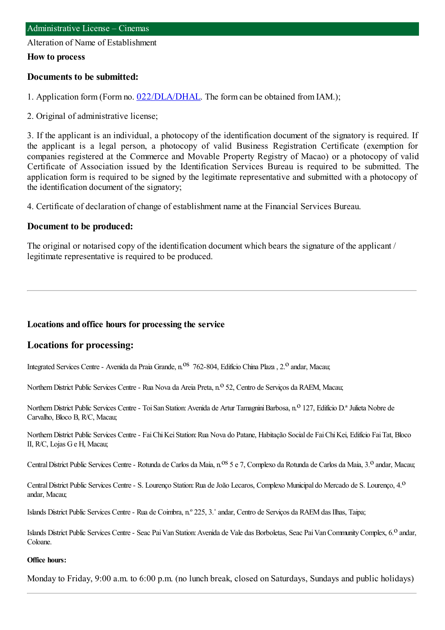Alteration of Name of Establishment

#### **How to process**

#### **Documents to be submitted:**

1. Application form (Form no. [022/DLA/DHAL](https://www.iam.gov.mo/c/pdf/eformDetail/PDF1013). The form can be obtained from IAM.);

2. Original of administrative license;

3. If the applicant is an individual, a photocopy of the identification document of the signatory is required. If the applicant is a legal person, a photocopy of valid Business Registration Certificate (exemption for companies registered at the Commerce and Movable Property Registry of Macao) or a photocopy of valid Certificate of Association issued by the Identification Services Bureau is required to be submitted. The application form is required to be signed by the legitimate representative and submitted with a photocopy of the identification document of the signatory;

4. Certificate of declaration of change of establishment name at the Financial Services Bureau.

### **Document to be produced:**

The original or notarised copy of the identification document which bears the signature of the applicant / legitimate representative is required to be produced.

### **Locations and office hours for processing the service**

### **Locations for processing:**

Integrated Services Centre - Avenida da Praia Grande, n.<sup>0S</sup> 762-804, Edifício China Plaza, 2.<sup>0</sup> andar, Macau;

Northern District Public Services Centre - Rua Nova da Areia Preta, n.º 52, Centro de Serviços da RAEM, Macau;

Northern District Public Services Centre - Toi San Station: Avenida de Artur Tamagnini Barbosa, n.º 127, Edifício D.ª Julieta Nobre de Carvalho, Bloco B, R/C, Macau;

Northern District Public Services Centre - Fai Chi Kei Station: Rua Nova do Patane, Habitação Social de Fai Chi Kei, Edifício Fai Tat, Bloco II, R/C, Lojas Ge H, Macau;

Central District Public Services Centre - Rotunda de Carlos da Maia, n.<sup>0S</sup> 5 e 7, Complexo da Rotunda de Carlos da Maia, 3.<sup>0</sup> andar, Macau;

Central District Public Services Centre - S. Lourenço Station: Rua de João Lecaros, Complexo Municipal do Mercado de S. Lourenço, 4.<sup>0</sup> andar, Macau;

Islands District Public Services Centre- Rua de Coimbra, n.º 225, 3.˚andar, Centro de Serviços da RAEMdas Ilhas, Taipa;

Islands District Public Services Centre - Seac Pai Van Station: Avenida de Vale das Borboletas, Seac Pai Van Community Complex, 6.<sup>0</sup> andar, Coloane.

#### **Office hours:**

Monday to Friday, 9:00 a.m. to 6:00 p.m. (no lunch break, closed on Saturdays, Sundays and public holidays)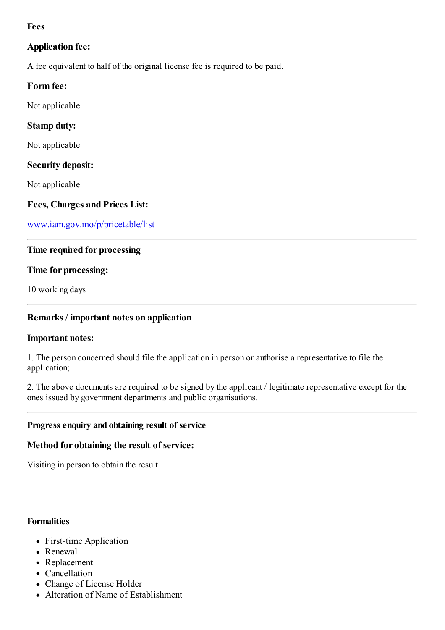## **Fees**

# **Application fee:**

A fee equivalent to half of the original license fee is required to be paid.

## **Form fee:**

Not applicable

## **Stamp duty:**

Not applicable

### **Security deposit:**

Not applicable

## **Fees, Charges and Prices List:**

[www.iam.gov.mo/p/pricetable/list](http://www.iam.gov.mo/p/pricetable/list)

## **Time required for processing**

### **Time for processing:**

10 working days

## **Remarks / important notes on application**

### **Important notes:**

1. The person concerned should file the application in person or authorise a representative to file the application;

2. The above documents are required to be signed by the applicant / legitimate representative except for the ones issued by government departments and public organisations.

## **Progress enquiry and obtaining result of service**

### **Method for obtaining the result of service:**

Visiting in person to obtain the result

#### **Formalities**

- First-time Application
- Renewal
- Replacement
- Cancellation
- Change of License Holder
- Alteration of Name of Establishment